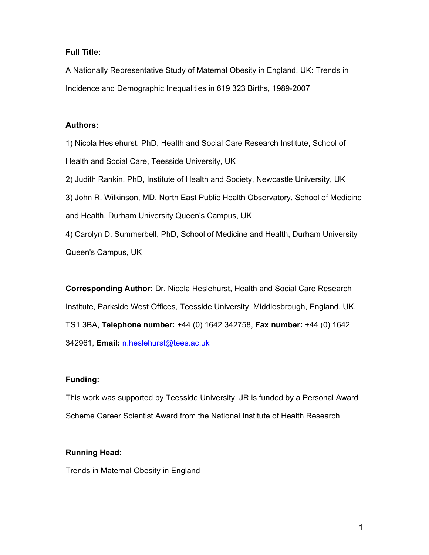# **Full Title:**

A Nationally Representative Study of Maternal Obesity in England, UK: Trends in Incidence and Demographic Inequalities in 619 323 Births, 1989-2007

## **Authors:**

1) Nicola Heslehurst, PhD, Health and Social Care Research Institute, School of Health and Social Care, Teesside University, UK 2) Judith Rankin, PhD, Institute of Health and Society, Newcastle University, UK 3) John R. Wilkinson, MD, North East Public Health Observatory, School of Medicine and Health, Durham University Queen's Campus, UK 4) Carolyn D. Summerbell, PhD, School of Medicine and Health, Durham University Queen's Campus, UK

**Corresponding Author:** Dr. Nicola Heslehurst, Health and Social Care Research Institute, Parkside West Offices, Teesside University, Middlesbrough, England, UK, TS1 3BA, **Telephone number:** +44 (0) 1642 342758, **Fax number:** +44 (0) 1642 342961, **Email:** n.heslehurst@tees.ac.uk

# **Funding:**

This work was supported by Teesside University. JR is funded by a Personal Award Scheme Career Scientist Award from the National Institute of Health Research

# **Running Head:**

Trends in Maternal Obesity in England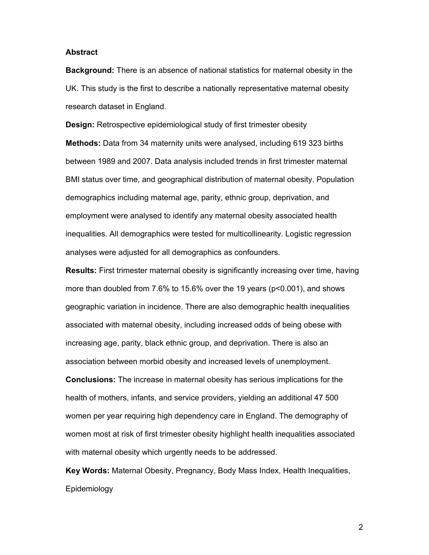#### **Abstract**

**Background:** There is an absence of national statistics for maternal obesity in the UK. This study is the first to describe a nationally representative maternal obesity research dataset in England.

**Design:** Retrospective epidemiological study of first trimester obesity **Methods:** Data from 34 maternity units were analysed, including 619 323 births between 1989 and 2007. Data analysis included trends in first trimester maternal BMI status over time, and geographical distribution of maternal obesity. Population demographics including maternal age, parity, ethnic group, deprivation, and employment were analysed to identify any maternal obesity associated health inequalities. All demographics were tested for multicollinearity. Logistic regression analyses were adjusted for all demographics as confounders.

**Results:** First trimester maternal obesity is significantly increasing over time, having more than doubled from 7.6% to 15.6% over the 19 years (p<0.001), and shows geographic variation in incidence. There are also demographic health inequalities associated with maternal obesity, including increased odds of being obese with increasing age, parity, black ethnic group, and deprivation. There is also an association between morbid obesity and increased levels of unemployment. **Conclusions:** The increase in maternal obesity has serious implications for the health of mothers, infants, and service providers, yielding an additional 47 500 women per year requiring high dependency care in England. The demography of women most at risk of first trimester obesity highlight health inequalities associated

**Key Words:** Maternal Obesity, Pregnancy, Body Mass Index, Health Inequalities, Epidemiology

with maternal obesity which urgently needs to be addressed.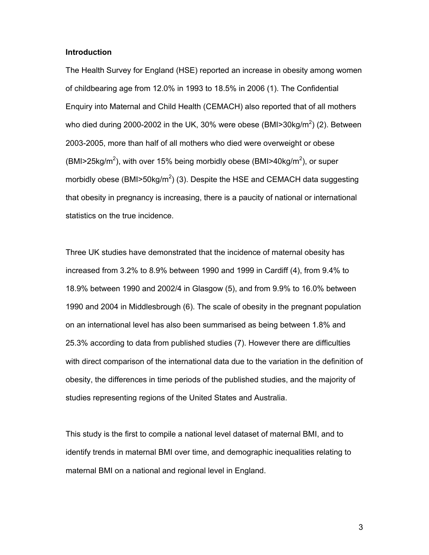### **Introduction**

The Health Survey for England (HSE) reported an increase in obesity among women of childbearing age from 12.0% in 1993 to 18.5% in 2006 (1). The Confidential Enquiry into Maternal and Child Health (CEMACH) also reported that of all mothers who died during 2000-2002 in the UK, 30% were obese (BMI>30kg/m $^2$ ) (2). Between 2003-2005, more than half of all mothers who died were overweight or obese (BMI>25kg/m<sup>2</sup>), with over 15% being morbidly obese (BMI>40kg/m<sup>2</sup>), or super morbidly obese (BMI>50kg/m<sup>2</sup>) (3). Despite the HSE and CEMACH data suggesting that obesity in pregnancy is increasing, there is a paucity of national or international statistics on the true incidence.

Three UK studies have demonstrated that the incidence of maternal obesity has increased from 3.2% to 8.9% between 1990 and 1999 in Cardiff (4), from 9.4% to 18.9% between 1990 and 2002/4 in Glasgow (5), and from 9.9% to 16.0% between 1990 and 2004 in Middlesbrough (6). The scale of obesity in the pregnant population on an international level has also been summarised as being between 1.8% and 25.3% according to data from published studies (7). However there are difficulties with direct comparison of the international data due to the variation in the definition of obesity, the differences in time periods of the published studies, and the majority of studies representing regions of the United States and Australia.

This study is the first to compile a national level dataset of maternal BMI, and to identify trends in maternal BMI over time, and demographic inequalities relating to maternal BMI on a national and regional level in England.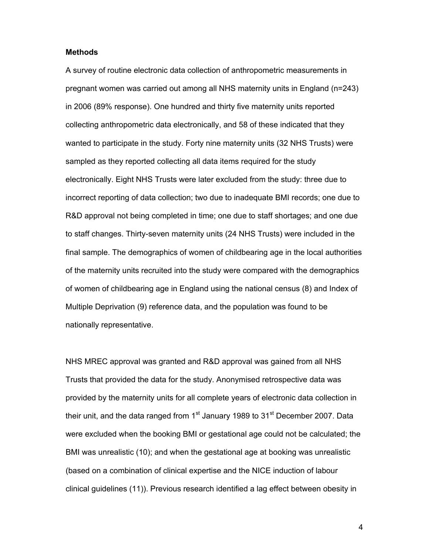### **Methods**

A survey of routine electronic data collection of anthropometric measurements in pregnant women was carried out among all NHS maternity units in England (n=243) in 2006 (89% response). One hundred and thirty five maternity units reported collecting anthropometric data electronically, and 58 of these indicated that they wanted to participate in the study. Forty nine maternity units (32 NHS Trusts) were sampled as they reported collecting all data items required for the study electronically. Eight NHS Trusts were later excluded from the study: three due to incorrect reporting of data collection; two due to inadequate BMI records; one due to R&D approval not being completed in time; one due to staff shortages; and one due to staff changes. Thirty-seven maternity units (24 NHS Trusts) were included in the final sample. The demographics of women of childbearing age in the local authorities of the maternity units recruited into the study were compared with the demographics of women of childbearing age in England using the national census (8) and Index of Multiple Deprivation (9) reference data, and the population was found to be nationally representative.

NHS MREC approval was granted and R&D approval was gained from all NHS Trusts that provided the data for the study. Anonymised retrospective data was provided by the maternity units for all complete years of electronic data collection in their unit, and the data ranged from  $1<sup>st</sup>$  January 1989 to 31 $<sup>st</sup>$  December 2007. Data</sup> were excluded when the booking BMI or gestational age could not be calculated; the BMI was unrealistic (10); and when the gestational age at booking was unrealistic (based on a combination of clinical expertise and the NICE induction of labour clinical guidelines (11)). Previous research identified a lag effect between obesity in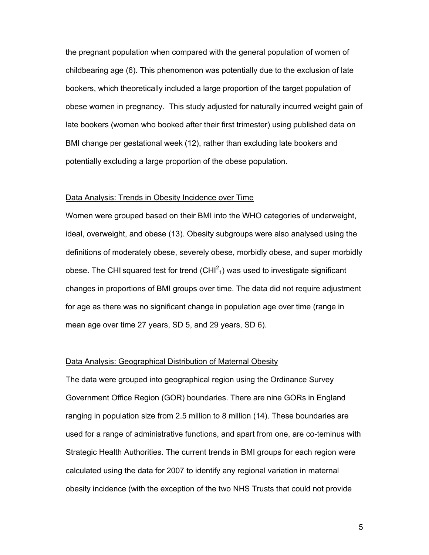the pregnant population when compared with the general population of women of childbearing age (6). This phenomenon was potentially due to the exclusion of late bookers, which theoretically included a large proportion of the target population of obese women in pregnancy. This study adjusted for naturally incurred weight gain of late bookers (women who booked after their first trimester) using published data on BMI change per gestational week (12), rather than excluding late bookers and potentially excluding a large proportion of the obese population.

### Data Analysis: Trends in Obesity Incidence over Time

Women were grouped based on their BMI into the WHO categories of underweight, ideal, overweight, and obese (13). Obesity subgroups were also analysed using the definitions of moderately obese, severely obese, morbidly obese, and super morbidly obese. The CHI squared test for trend (CHI $^2$ <sub>1</sub>) was used to investigate significant changes in proportions of BMI groups over time. The data did not require adjustment for age as there was no significant change in population age over time (range in mean age over time 27 years, SD 5, and 29 years, SD 6).

#### Data Analysis: Geographical Distribution of Maternal Obesity

The data were grouped into geographical region using the Ordinance Survey Government Office Region (GOR) boundaries. There are nine GORs in England ranging in population size from 2.5 million to 8 million (14). These boundaries are used for a range of administrative functions, and apart from one, are co-teminus with Strategic Health Authorities. The current trends in BMI groups for each region were calculated using the data for 2007 to identify any regional variation in maternal obesity incidence (with the exception of the two NHS Trusts that could not provide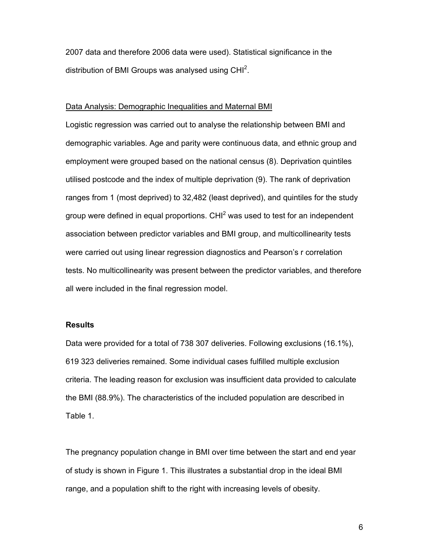2007 data and therefore 2006 data were used). Statistical significance in the distribution of BMI Groups was analysed using CHI<sup>2</sup>.

#### Data Analysis: Demographic Inequalities and Maternal BMI

Logistic regression was carried out to analyse the relationship between BMI and demographic variables. Age and parity were continuous data, and ethnic group and employment were grouped based on the national census (8). Deprivation quintiles utilised postcode and the index of multiple deprivation (9). The rank of deprivation ranges from 1 (most deprived) to 32,482 (least deprived), and quintiles for the study group were defined in equal proportions. CHI $^2$  was used to test for an independent association between predictor variables and BMI group, and multicollinearity tests were carried out using linear regression diagnostics and Pearson's r correlation tests. No multicollinearity was present between the predictor variables, and therefore all were included in the final regression model.

### **Results**

Data were provided for a total of 738 307 deliveries. Following exclusions (16.1%), 619 323 deliveries remained. Some individual cases fulfilled multiple exclusion criteria. The leading reason for exclusion was insufficient data provided to calculate the BMI (88.9%). The characteristics of the included population are described in Table 1.

The pregnancy population change in BMI over time between the start and end year of study is shown in Figure 1. This illustrates a substantial drop in the ideal BMI range, and a population shift to the right with increasing levels of obesity.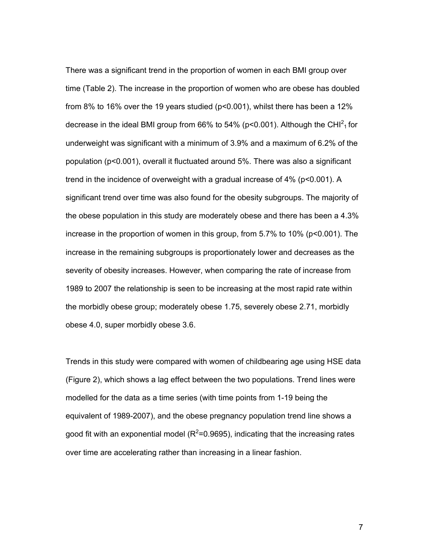There was a significant trend in the proportion of women in each BMI group over time (Table 2). The increase in the proportion of women who are obese has doubled from 8% to 16% over the 19 years studied (p<0.001), whilst there has been a 12% decrease in the ideal BMI group from 66% to 54% (p<0.001). Although the CHI $^2$ <sub>1</sub> for underweight was significant with a minimum of 3.9% and a maximum of 6.2% of the population (p<0.001), overall it fluctuated around 5%. There was also a significant trend in the incidence of overweight with a gradual increase of  $4\%$  (p<0.001). A significant trend over time was also found for the obesity subgroups. The majority of the obese population in this study are moderately obese and there has been a 4.3% increase in the proportion of women in this group, from 5.7% to 10% (p<0.001). The increase in the remaining subgroups is proportionately lower and decreases as the severity of obesity increases. However, when comparing the rate of increase from 1989 to 2007 the relationship is seen to be increasing at the most rapid rate within the morbidly obese group; moderately obese 1.75, severely obese 2.71, morbidly obese 4.0, super morbidly obese 3.6.

Trends in this study were compared with women of childbearing age using HSE data (Figure 2), which shows a lag effect between the two populations. Trend lines were modelled for the data as a time series (with time points from 1-19 being the equivalent of 1989-2007), and the obese pregnancy population trend line shows a good fit with an exponential model (R $^{2}$ =0.9695), indicating that the increasing rates over time are accelerating rather than increasing in a linear fashion.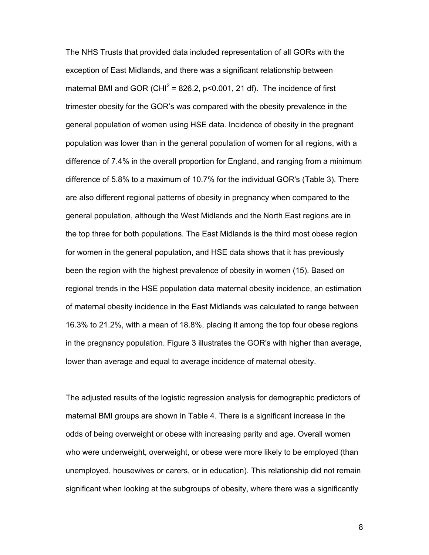The NHS Trusts that provided data included representation of all GORs with the exception of East Midlands, and there was a significant relationship between maternal BMI and GOR (CHI<sup>2</sup> = 826.2, p<0.001, 21 df). The incidence of first trimester obesity for the GOR's was compared with the obesity prevalence in the general population of women using HSE data. Incidence of obesity in the pregnant population was lower than in the general population of women for all regions, with a difference of 7.4% in the overall proportion for England, and ranging from a minimum difference of 5.8% to a maximum of 10.7% for the individual GOR's (Table 3). There are also different regional patterns of obesity in pregnancy when compared to the general population, although the West Midlands and the North East regions are in the top three for both populations. The East Midlands is the third most obese region for women in the general population, and HSE data shows that it has previously been the region with the highest prevalence of obesity in women (15). Based on regional trends in the HSE population data maternal obesity incidence, an estimation of maternal obesity incidence in the East Midlands was calculated to range between 16.3% to 21.2%, with a mean of 18.8%, placing it among the top four obese regions in the pregnancy population. Figure 3 illustrates the GOR's with higher than average, lower than average and equal to average incidence of maternal obesity.

The adjusted results of the logistic regression analysis for demographic predictors of maternal BMI groups are shown in Table 4. There is a significant increase in the odds of being overweight or obese with increasing parity and age. Overall women who were underweight, overweight, or obese were more likely to be employed (than unemployed, housewives or carers, or in education). This relationship did not remain significant when looking at the subgroups of obesity, where there was a significantly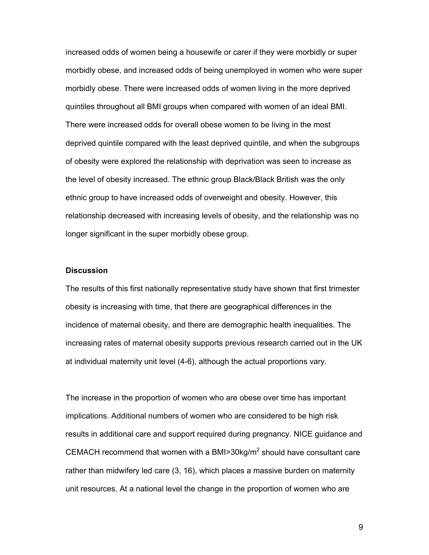increased odds of women being a housewife or carer if they were morbidly or super morbidly obese, and increased odds of being unemployed in women who were super morbidly obese. There were increased odds of women living in the more deprived quintiles throughout all BMI groups when compared with women of an ideal BMI. There were increased odds for overall obese women to be living in the most deprived quintile compared with the least deprived quintile, and when the subgroups of obesity were explored the relationship with deprivation was seen to increase as the level of obesity increased. The ethnic group Black/Black British was the only ethnic group to have increased odds of overweight and obesity. However, this relationship decreased with increasing levels of obesity, and the relationship was no longer significant in the super morbidly obese group.

### **Discussion**

The results of this first nationally representative study have shown that first trimester obesity is increasing with time, that there are geographical differences in the incidence of maternal obesity, and there are demographic health inequalities. The increasing rates of maternal obesity supports previous research carried out in the UK at individual maternity unit level (4-6), although the actual proportions vary.

The increase in the proportion of women who are obese over time has important implications. Additional numbers of women who are considered to be high risk results in additional care and support required during pregnancy. NICE guidance and CEMACH recommend that women with a BMI>30kg/m<sup>2</sup> should have consultant care rather than midwifery led care (3, 16), which places a massive burden on maternity unit resources. At a national level the change in the proportion of women who are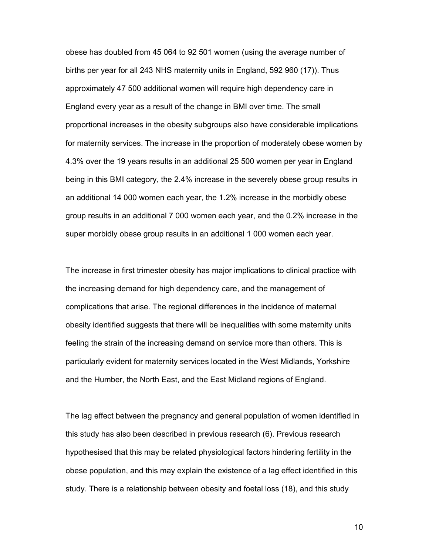obese has doubled from 45 064 to 92 501 women (using the average number of births per year for all 243 NHS maternity units in England, 592 960 (17)). Thus approximately 47 500 additional women will require high dependency care in England every year as a result of the change in BMI over time. The small proportional increases in the obesity subgroups also have considerable implications for maternity services. The increase in the proportion of moderately obese women by 4.3% over the 19 years results in an additional 25 500 women per year in England being in this BMI category, the 2.4% increase in the severely obese group results in an additional 14 000 women each year, the 1.2% increase in the morbidly obese group results in an additional 7 000 women each year, and the 0.2% increase in the super morbidly obese group results in an additional 1 000 women each year.

The increase in first trimester obesity has major implications to clinical practice with the increasing demand for high dependency care, and the management of complications that arise. The regional differences in the incidence of maternal obesity identified suggests that there will be inequalities with some maternity units feeling the strain of the increasing demand on service more than others. This is particularly evident for maternity services located in the West Midlands, Yorkshire and the Humber, the North East, and the East Midland regions of England.

The lag effect between the pregnancy and general population of women identified in this study has also been described in previous research (6). Previous research hypothesised that this may be related physiological factors hindering fertility in the obese population, and this may explain the existence of a lag effect identified in this study. There is a relationship between obesity and foetal loss (18), and this study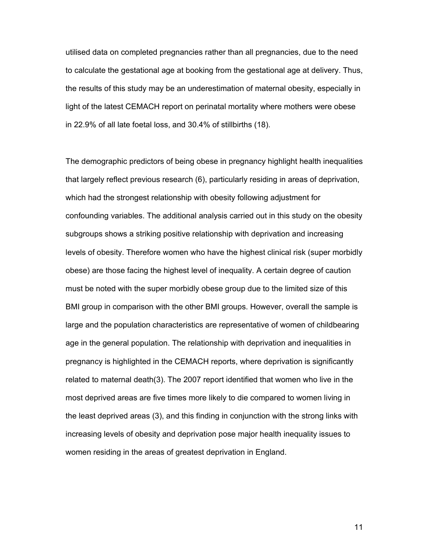utilised data on completed pregnancies rather than all pregnancies, due to the need to calculate the gestational age at booking from the gestational age at delivery. Thus, the results of this study may be an underestimation of maternal obesity, especially in light of the latest CEMACH report on perinatal mortality where mothers were obese in 22.9% of all late foetal loss, and 30.4% of stillbirths (18).

The demographic predictors of being obese in pregnancy highlight health inequalities that largely reflect previous research (6), particularly residing in areas of deprivation, which had the strongest relationship with obesity following adjustment for confounding variables. The additional analysis carried out in this study on the obesity subgroups shows a striking positive relationship with deprivation and increasing levels of obesity. Therefore women who have the highest clinical risk (super morbidly obese) are those facing the highest level of inequality. A certain degree of caution must be noted with the super morbidly obese group due to the limited size of this BMI group in comparison with the other BMI groups. However, overall the sample is large and the population characteristics are representative of women of childbearing age in the general population. The relationship with deprivation and inequalities in pregnancy is highlighted in the CEMACH reports, where deprivation is significantly related to maternal death(3). The 2007 report identified that women who live in the most deprived areas are five times more likely to die compared to women living in the least deprived areas (3), and this finding in conjunction with the strong links with increasing levels of obesity and deprivation pose major health inequality issues to women residing in the areas of greatest deprivation in England.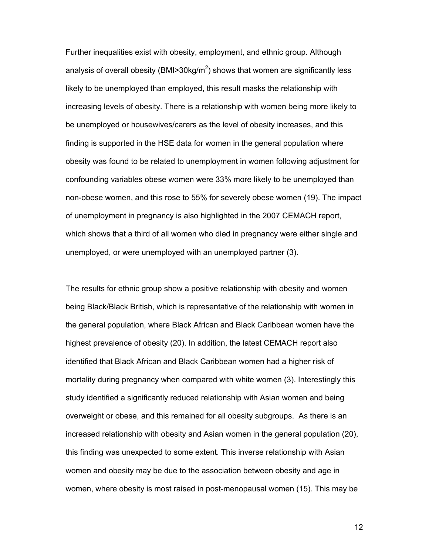Further inequalities exist with obesity, employment, and ethnic group. Although analysis of overall obesity (BMI>30kg/m<sup>2</sup>) shows that women are significantly less likely to be unemployed than employed, this result masks the relationship with increasing levels of obesity. There is a relationship with women being more likely to be unemployed or housewives/carers as the level of obesity increases, and this finding is supported in the HSE data for women in the general population where obesity was found to be related to unemployment in women following adjustment for confounding variables obese women were 33% more likely to be unemployed than non-obese women, and this rose to 55% for severely obese women (19). The impact of unemployment in pregnancy is also highlighted in the 2007 CEMACH report, which shows that a third of all women who died in pregnancy were either single and unemployed, or were unemployed with an unemployed partner (3).

The results for ethnic group show a positive relationship with obesity and women being Black/Black British, which is representative of the relationship with women in the general population, where Black African and Black Caribbean women have the highest prevalence of obesity (20). In addition, the latest CEMACH report also identified that Black African and Black Caribbean women had a higher risk of mortality during pregnancy when compared with white women (3). Interestingly this study identified a significantly reduced relationship with Asian women and being overweight or obese, and this remained for all obesity subgroups. As there is an increased relationship with obesity and Asian women in the general population (20), this finding was unexpected to some extent. This inverse relationship with Asian women and obesity may be due to the association between obesity and age in women, where obesity is most raised in post-menopausal women (15). This may be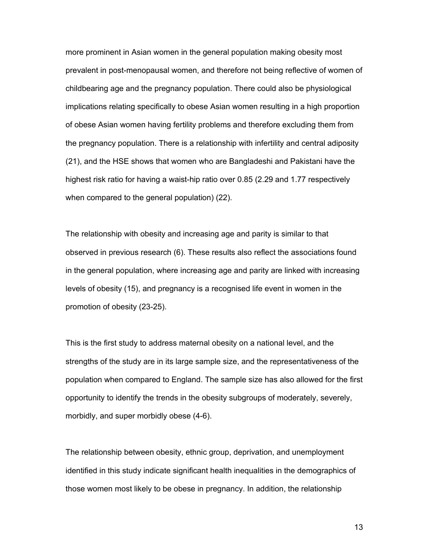more prominent in Asian women in the general population making obesity most prevalent in post-menopausal women, and therefore not being reflective of women of childbearing age and the pregnancy population. There could also be physiological implications relating specifically to obese Asian women resulting in a high proportion of obese Asian women having fertility problems and therefore excluding them from the pregnancy population. There is a relationship with infertility and central adiposity (21), and the HSE shows that women who are Bangladeshi and Pakistani have the highest risk ratio for having a waist-hip ratio over 0.85 (2.29 and 1.77 respectively when compared to the general population) (22).

The relationship with obesity and increasing age and parity is similar to that observed in previous research (6). These results also reflect the associations found in the general population, where increasing age and parity are linked with increasing levels of obesity (15), and pregnancy is a recognised life event in women in the promotion of obesity (23-25).

This is the first study to address maternal obesity on a national level, and the strengths of the study are in its large sample size, and the representativeness of the population when compared to England. The sample size has also allowed for the first opportunity to identify the trends in the obesity subgroups of moderately, severely, morbidly, and super morbidly obese (4-6).

The relationship between obesity, ethnic group, deprivation, and unemployment identified in this study indicate significant health inequalities in the demographics of those women most likely to be obese in pregnancy. In addition, the relationship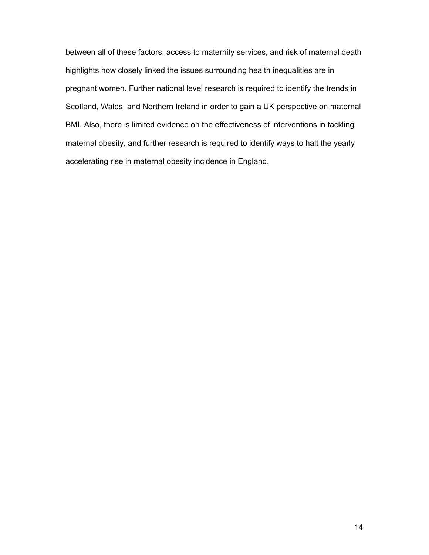between all of these factors, access to maternity services, and risk of maternal death highlights how closely linked the issues surrounding health inequalities are in pregnant women. Further national level research is required to identify the trends in Scotland, Wales, and Northern Ireland in order to gain a UK perspective on maternal BMI. Also, there is limited evidence on the effectiveness of interventions in tackling maternal obesity, and further research is required to identify ways to halt the yearly accelerating rise in maternal obesity incidence in England.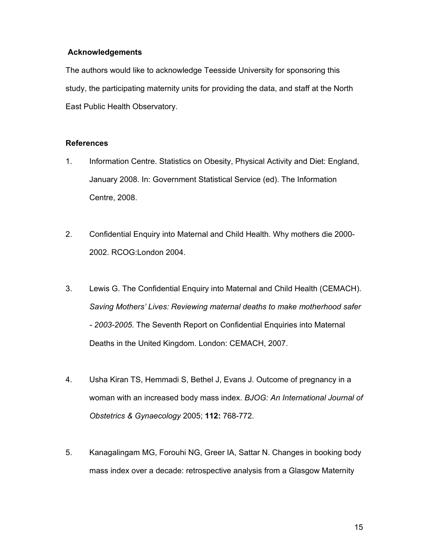# **Acknowledgements**

The authors would like to acknowledge Teesside University for sponsoring this study, the participating maternity units for providing the data, and staff at the North East Public Health Observatory.

## **References**

- 1. Information Centre. Statistics on Obesity, Physical Activity and Diet: England, January 2008. In: Government Statistical Service (ed). The Information Centre, 2008.
- 2. Confidential Enquiry into Maternal and Child Health. Why mothers die 2000- 2002. RCOG:London 2004.
- 3. Lewis G. The Confidential Enquiry into Maternal and Child Health (CEMACH). *Saving Mothers' Lives: Reviewing maternal deaths to make motherhood safer - 2003-2005.* The Seventh Report on Confidential Enquiries into Maternal Deaths in the United Kingdom. London: CEMACH, 2007.
- 4. Usha Kiran TS, Hemmadi S, Bethel J, Evans J. Outcome of pregnancy in a woman with an increased body mass index. *BJOG: An International Journal of Obstetrics & Gynaecology* 2005; **112:** 768-772.
- 5. Kanagalingam MG, Forouhi NG, Greer IA, Sattar N. Changes in booking body mass index over a decade: retrospective analysis from a Glasgow Maternity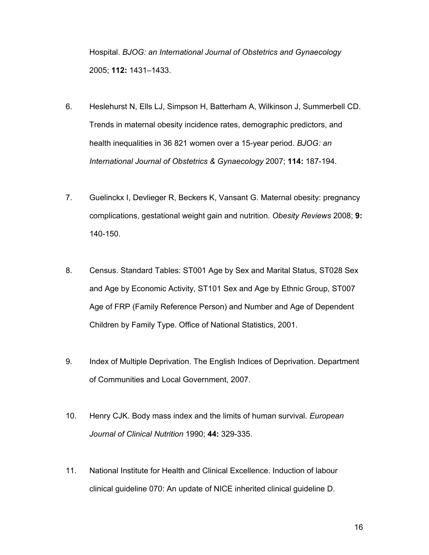Hospital. *BJOG: an International Journal of Obstetrics and Gynaecology* 2005; **112:** 1431–1433.

- 6. Heslehurst N, Ells LJ, Simpson H, Batterham A, Wilkinson J, Summerbell CD. Trends in maternal obesity incidence rates, demographic predictors, and health inequalities in 36 821 women over a 15-year period. *BJOG: an International Journal of Obstetrics & Gynaecology* 2007; **114:** 187-194.
- 7. Guelinckx I, Devlieger R, Beckers K, Vansant G. Maternal obesity: pregnancy complications, gestational weight gain and nutrition. *Obesity Reviews* 2008; **9:** 140-150.
- 8. Census. Standard Tables: ST001 Age by Sex and Marital Status, ST028 Sex and Age by Economic Activity, ST101 Sex and Age by Ethnic Group, ST007 Age of FRP (Family Reference Person) and Number and Age of Dependent Children by Family Type. Office of National Statistics, 2001.
- 9. Index of Multiple Deprivation. The English Indices of Deprivation. Department of Communities and Local Government, 2007.
- 10. Henry CJK. Body mass index and the limits of human survival. *European Journal of Clinical Nutrition* 1990; **44:** 329-335.
- 11. National Institute for Health and Clinical Excellence. Induction of labour clinical guideline 070: An update of NICE inherited clinical guideline D.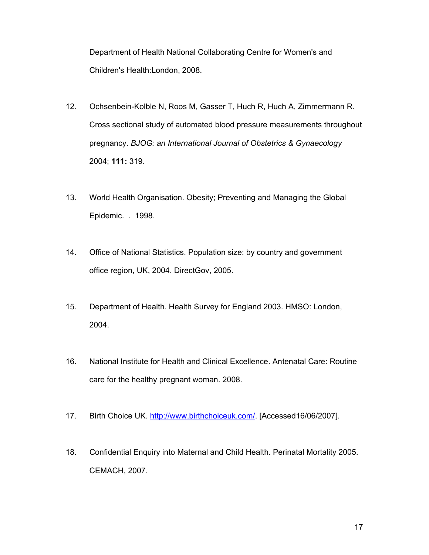Department of Health National Collaborating Centre for Women's and Children's Health:London, 2008.

- 12. Ochsenbein-Kolble N, Roos M, Gasser T, Huch R, Huch A, Zimmermann R. Cross sectional study of automated blood pressure measurements throughout pregnancy. *BJOG: an International Journal of Obstetrics & Gynaecology* 2004; **111:** 319.
- 13. World Health Organisation. Obesity; Preventing and Managing the Global Epidemic. . 1998.
- 14. Office of National Statistics. Population size: by country and government office region, UK, 2004. DirectGov, 2005.
- 15. Department of Health. Health Survey for England 2003. HMSO: London, 2004.
- 16. National Institute for Health and Clinical Excellence. Antenatal Care: Routine care for the healthy pregnant woman. 2008.
- 17. Birth Choice UK. http://www.birthchoiceuk.com/. [Accessed16/06/2007].
- 18. Confidential Enquiry into Maternal and Child Health. Perinatal Mortality 2005. CEMACH, 2007.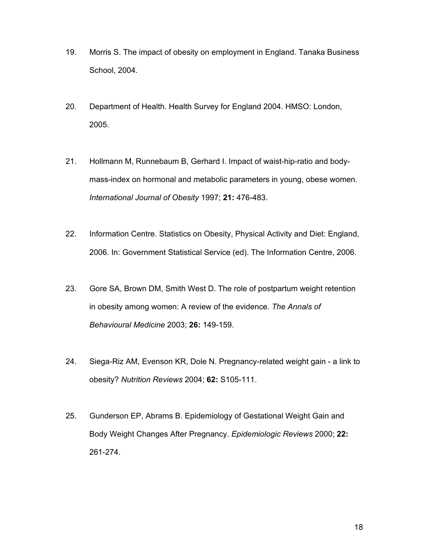- 19. Morris S. The impact of obesity on employment in England. Tanaka Business School, 2004.
- 20. Department of Health. Health Survey for England 2004. HMSO: London, 2005.
- 21. Hollmann M, Runnebaum B, Gerhard I. Impact of waist-hip-ratio and bodymass-index on hormonal and metabolic parameters in young, obese women. *International Journal of Obesity* 1997; **21:** 476-483.
- 22. Information Centre. Statistics on Obesity, Physical Activity and Diet: England, 2006. In: Government Statistical Service (ed). The Information Centre, 2006.
- 23. Gore SA, Brown DM, Smith West D. The role of postpartum weight retention in obesity among women: A review of the evidence. *The Annals of Behavioural Medicine* 2003; **26:** 149-159.
- 24. Siega-Riz AM, Evenson KR, Dole N. Pregnancy-related weight gain a link to obesity? *Nutrition Reviews* 2004; **62:** S105-111.
- 25. Gunderson EP, Abrams B. Epidemiology of Gestational Weight Gain and Body Weight Changes After Pregnancy. *Epidemiologic Reviews* 2000; **22:** 261-274.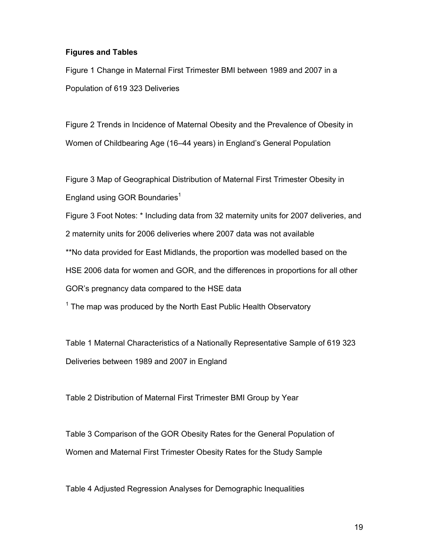## **Figures and Tables**

Figure 1 Change in Maternal First Trimester BMI between 1989 and 2007 in a Population of 619 323 Deliveries

Figure 2 Trends in Incidence of Maternal Obesity and the Prevalence of Obesity in Women of Childbearing Age (16–44 years) in England's General Population

Figure 3 Map of Geographical Distribution of Maternal First Trimester Obesity in England using GOR Boundaries $<sup>1</sup>$ </sup>

Figure 3 Foot Notes: \* Including data from 32 maternity units for 2007 deliveries, and 2 maternity units for 2006 deliveries where 2007 data was not available \*\*No data provided for East Midlands, the proportion was modelled based on the HSE 2006 data for women and GOR, and the differences in proportions for all other GOR's pregnancy data compared to the HSE data

 $^1$  The map was produced by the North East Public Health Observatory

Table 1 Maternal Characteristics of a Nationally Representative Sample of 619 323 Deliveries between 1989 and 2007 in England

Table 2 Distribution of Maternal First Trimester BMI Group by Year

Table 3 Comparison of the GOR Obesity Rates for the General Population of Women and Maternal First Trimester Obesity Rates for the Study Sample

Table 4 Adjusted Regression Analyses for Demographic Inequalities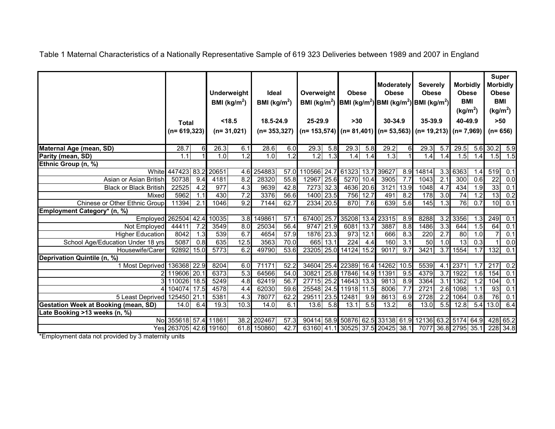Table 1 Maternal Characteristics of a Nationally Representative Sample of 619 323 Deliveries between 1989 and 2007 in England

|                                             | <b>Total</b><br>$(n=619, 323)$ |     | <b>Underweight</b><br>BMI ( $\text{kg/m}^2$ )<br>< 18.5<br>$(n=31,021)$ |                  | <b>Ideal</b><br>BMI ( $kg/m2$ )<br>18.5-24.9<br>$(n=353,327)$ |                  | Overweight<br>BMI ( $kg/m2$ )<br>25-29.9 |           | <b>Obese</b><br><b>BMI</b> (kg/m <sup>2</sup> ) BMI (kg/m <sup>2</sup> ) BMI (kg/m <sup>2</sup> )<br>$>30$<br>$(n= 153, 574)$ $(n= 81, 401)$ $(n= 53, 563)$ $(n= 19, 213)$ |                   | <b>Moderately</b><br><b>Obese</b><br>30-34.9 |                  | <b>Severely</b><br><b>Obese</b><br>35-39.9 |                  | <b>Morbidly</b><br><b>Obese</b><br><b>BMI</b><br>(kg/m <sup>2</sup> )<br>40-49.9<br>$(n=7,969)$ |                  | <b>Super</b><br><b>Morbidly</b><br><b>Obese</b><br><b>BMI</b><br>(kg/m <sup>2</sup> )<br>$>50$<br>$(n=656)$ |                  |
|---------------------------------------------|--------------------------------|-----|-------------------------------------------------------------------------|------------------|---------------------------------------------------------------|------------------|------------------------------------------|-----------|----------------------------------------------------------------------------------------------------------------------------------------------------------------------------|-------------------|----------------------------------------------|------------------|--------------------------------------------|------------------|-------------------------------------------------------------------------------------------------|------------------|-------------------------------------------------------------------------------------------------------------|------------------|
| Maternal Age (mean, SD)                     | 28.7                           |     | 26.3                                                                    | 6.1              | 28.6                                                          | 6.0              | 29.3                                     | 5.8       | 29.3                                                                                                                                                                       | 5.8               | 29.2                                         | 61               | 29.3                                       | 5.7              | 29.5                                                                                            |                  | $5.\overline{6}$ 30.2                                                                                       | $\overline{5.9}$ |
| Parity (mean, SD)                           | 1.1                            |     | 1.0                                                                     | 1.2              | 1.0                                                           | $\overline{1.2}$ | 1.2                                      | 1.3       | 1.4                                                                                                                                                                        | 1.4               | $\overline{1.3}$                             |                  | 1.4                                        | 1.4              | 1.5                                                                                             | 1.4              | 1.5                                                                                                         | 1.5              |
| Ethnic Group (n, %)                         |                                |     |                                                                         |                  |                                                               |                  |                                          |           |                                                                                                                                                                            |                   |                                              |                  |                                            |                  |                                                                                                 |                  |                                                                                                             |                  |
| White                                       | 447423 83.2                    |     | 20651                                                                   | 4.6              | 254883                                                        | 57.0             | 110566                                   | 24.7      | 61323                                                                                                                                                                      | 13.7              | 39627                                        | 8.9              | 14814                                      | 3.3              | 6363                                                                                            | 1.4              | 519                                                                                                         | 0.1              |
| Asian or Asian British                      | 50738                          | 9.4 | 4181                                                                    | 8.2              | 28320                                                         | 55.8             | 12967                                    | 25.6      | 5270                                                                                                                                                                       | 10.4              | 3905                                         | 7.7              | 1043                                       | 2.1              | 300                                                                                             | 0.6              | $\overline{22}$                                                                                             | $\overline{0.0}$ |
| <b>Black or Black British</b>               | 22525                          | 4.2 | $\overline{977}$                                                        | 4.3              | 9639                                                          | 42.8             |                                          | 7273 32.3 | 4636                                                                                                                                                                       | 20.6              | 3121                                         | 13.9             | 1048                                       | 4.7              | 434                                                                                             | 1.9              | 33                                                                                                          | 0.1              |
| Mixed                                       | 5962                           | 1.1 | 430                                                                     | 7.2              | 3376                                                          | 56.6             |                                          | 1400 23.5 | 756                                                                                                                                                                        | 12.7              | 491                                          | 8.2              | 178                                        | $\overline{3.0}$ | 74                                                                                              | 1.2              | 13                                                                                                          | 0.2              |
| Chinese or Other Ethnic Group               | 11394                          | 2.1 | 1046                                                                    | $\overline{9.2}$ | 7144                                                          | 62.7             |                                          | 2334 20.5 | 870                                                                                                                                                                        | 7.6               | 639                                          | 5.6              | 145                                        | 1.3              | 76                                                                                              | 0.7              | 10                                                                                                          | 0.1              |
| Employment Category* (n, %)                 |                                |     |                                                                         |                  |                                                               |                  |                                          |           |                                                                                                                                                                            |                   |                                              |                  |                                            |                  |                                                                                                 |                  |                                                                                                             |                  |
| Employed 262504 42.4                        |                                |     | 10035                                                                   | 3.8              | 149861                                                        | 57.1             |                                          |           | 67400 25.7 35208                                                                                                                                                           | 13.4              | 23315                                        | 8.9              | 8288                                       | 3.2              | 3356                                                                                            | 1.3              | 249                                                                                                         | 0.1              |
| Not Employed                                | 44411                          | 7.2 | 3549                                                                    | $\overline{8.0}$ | 25034                                                         | 56.4             | 9747                                     | 21.9      | 6081                                                                                                                                                                       | 13.7              | 3887                                         | 8.8              | 1486                                       | $\overline{3.3}$ | 644                                                                                             | 1.5              | 64                                                                                                          | 0.1              |
| <b>Higher Education</b>                     | 8042                           | 1.3 | 539                                                                     | 6.7              | 4654                                                          | 57.9             |                                          | 1876 23.3 | 973                                                                                                                                                                        | 12.1              | 666                                          | 8.3              | 220                                        | 2.7              | 80                                                                                              | 1.0              | $\overline{7}$                                                                                              | 0.1              |
| School Age/Education Under 18 yrs           | 5087                           | 0.8 | 635                                                                     | 12.5             | 3563                                                          | 70.0             |                                          | 665 13.1  | $\overline{224}$                                                                                                                                                           | 4.4               | 160                                          | $\overline{3.1}$ | 50                                         | 1.0              | 13                                                                                              | $\overline{0.3}$ |                                                                                                             | $\overline{0.0}$ |
| Housewife/Carer                             | 92892 15.0                     |     | 5773                                                                    | 6.2              | 49790                                                         | 53.6             |                                          |           | 23205 25.0 14124                                                                                                                                                           | 15.2              | 9017                                         | $\overline{9.7}$ | 3421                                       | $\overline{3.7}$ | 1554                                                                                            | 1.7              | 132                                                                                                         | $\overline{0.1}$ |
| Deprivation Quintile (n, %)                 |                                |     |                                                                         |                  |                                                               |                  |                                          |           |                                                                                                                                                                            |                   |                                              |                  |                                            |                  |                                                                                                 |                  |                                                                                                             |                  |
| 1 Most Deprived 136368 22.9                 |                                |     | 8204                                                                    | 6.0              | 71171                                                         | 52.2             | 34604                                    |           | 25.4 22389                                                                                                                                                                 | 16.4              | 14262                                        | 10.5             | 5539                                       | 4.1              | 2371                                                                                            | 1.7              | 217                                                                                                         | 0.2              |
|                                             | 2 119606 20.1                  |     | 6373                                                                    | $\overline{5.3}$ | 64566                                                         | 54.0             | 30821                                    |           | 25.8 17846                                                                                                                                                                 |                   | 14.9 11391                                   | 9.5              | 4379                                       | $\overline{3.7}$ | 1922                                                                                            | 1.6              | 154                                                                                                         | 0.1              |
|                                             | 3 110026 18.5                  |     | 5249                                                                    | 4.8              | 62419                                                         | 56.7             | 27715                                    |           | 25.2 14643                                                                                                                                                                 | 13.3              | 9813                                         | $\overline{8.9}$ | 3364                                       | $\overline{3.1}$ | 1362                                                                                            | 1.2              | 104                                                                                                         | 0.1              |
|                                             | 104074 17.5                    |     | 4578                                                                    | 4.4              | 62030                                                         | 59.6             | 25548                                    |           | 24.5 11918                                                                                                                                                                 | $\overline{11.5}$ | 8006                                         | 7.7              | 2721                                       | $\overline{2.6}$ | 1098                                                                                            | 1.1              | 93                                                                                                          | 0.1              |
| 5 Least Deprived                            | 125450 21.1                    |     | 5381                                                                    | 4.3              | 78077                                                         | 62.2             | 29511                                    |           | 23.5 12481                                                                                                                                                                 | 9.9               | 8613                                         | 6.9              | 2728                                       | $\overline{2.2}$ | 1064                                                                                            | 0.8              | $\overline{76}$                                                                                             | 0.1              |
| <b>Gestation Week at Booking (mean, SD)</b> | 14.0                           | 6.4 | 19.3                                                                    | 10.3             | 14.0                                                          | 6.1              | 13.6                                     | 5.8       | 13.1                                                                                                                                                                       | 5.5               | 13.2                                         | 6                | 13.0                                       | $\overline{5.5}$ | 12.8                                                                                            | 5.4              | 13.0                                                                                                        | 6.4              |
| Late Booking >13 weeks (n, %)               |                                |     |                                                                         |                  |                                                               |                  |                                          |           |                                                                                                                                                                            |                   |                                              |                  |                                            |                  |                                                                                                 |                  |                                                                                                             |                  |
|                                             | No 355618 57.4                 |     | 11861                                                                   |                  | 38.2 202467                                                   | 57.3             |                                          |           | 90414 58.9 50876 62.5 33138 61.9 12136 63.2 5174 64.9 428                                                                                                                  |                   |                                              |                  |                                            |                  |                                                                                                 |                  |                                                                                                             | 65.2             |
|                                             | Yes 263705 42.6                |     | 19160                                                                   | 61.8             | 150860                                                        | 42.7             |                                          |           | 63160 41.1 30525 37.5 20425 38.1                                                                                                                                           |                   |                                              |                  |                                            |                  | 7077 36.8 2795 35.1                                                                             |                  | 228                                                                                                         | 34.8             |

\*Employment data not provided by 3 maternity units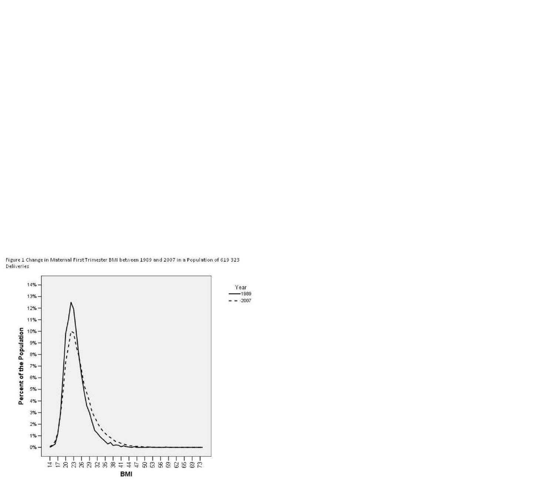

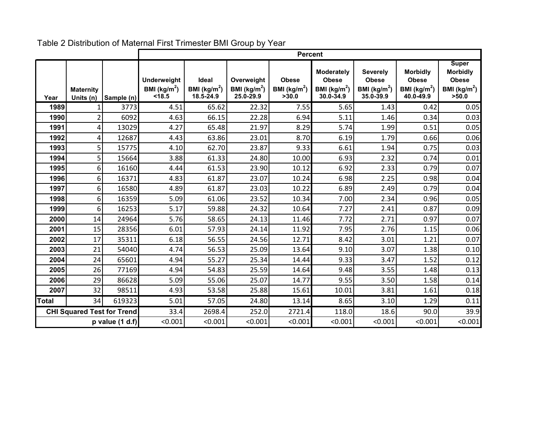|                   |                                   |            |                                                 |                                                      |                                            | Percent                                          |                                                                           |                                                                 |                                                                 |                                                                           |
|-------------------|-----------------------------------|------------|-------------------------------------------------|------------------------------------------------------|--------------------------------------------|--------------------------------------------------|---------------------------------------------------------------------------|-----------------------------------------------------------------|-----------------------------------------------------------------|---------------------------------------------------------------------------|
| Year              | <b>Maternity</b><br>Units (n)     | Sample (n) | <b>Underweight</b><br>BMI ( $kg/m2$ )<br>< 18.5 | <b>Ideal</b><br>BMI ( $\text{kg/m}^2$ )<br>18.5-24.9 | Overweight<br>BMI ( $kg/m2$ )<br>25.0-29.9 | <b>Obese</b><br>BMI ( $\text{kg/m}^2$ )<br>>30.0 | <b>Moderately</b><br><b>Obese</b><br>BMI ( $\text{kg/m}^2$ )<br>30.0-34.9 | <b>Severely</b><br><b>Obese</b><br>BMI ( $kg/m2$ )<br>35.0-39.9 | <b>Morbidly</b><br><b>Obese</b><br>BMI ( $kg/m2$ )<br>40.0-49.9 | <b>Super</b><br><b>Morbidly</b><br><b>Obese</b><br>BMI $(kg/m2)$<br>>50.0 |
| 1989              | 1                                 | 3773       | 4.51                                            | 65.62                                                | 22.32                                      | 7.55                                             | 5.65                                                                      | 1.43                                                            | 0.42                                                            | 0.05                                                                      |
| 1990              | $\overline{2}$                    | 6092       | 4.63                                            | 66.15                                                | 22.28                                      | 6.94                                             | 5.11                                                                      | 1.46                                                            | 0.34                                                            | 0.03                                                                      |
| 1991              | 4                                 | 13029      | 4.27                                            | 65.48                                                | 21.97                                      | 8.29                                             | 5.74                                                                      | 1.99                                                            | 0.51                                                            | 0.05                                                                      |
| 1992              | 4                                 | 12687      | 4.43                                            | 63.86                                                | 23.01                                      | 8.70                                             | 6.19                                                                      | 1.79                                                            | 0.66                                                            | 0.06                                                                      |
| 1993              | 5                                 | 15775      | 4.10                                            | 62.70                                                | 23.87                                      | 9.33                                             | 6.61                                                                      | 1.94                                                            | 0.75                                                            | 0.03                                                                      |
| 1994              | 5                                 | 15664      | 3.88                                            | 61.33                                                | 24.80                                      | 10.00                                            | 6.93                                                                      | 2.32                                                            | 0.74                                                            | 0.01                                                                      |
| 1995              | 6                                 | 16160      | 4.44                                            | 61.53                                                | 23.90                                      | 10.12                                            | 6.92                                                                      | 2.33                                                            | 0.79                                                            | 0.07                                                                      |
| 1996              | 6                                 | 16371      | 4.83                                            | 61.87                                                | 23.07                                      | 10.24                                            | 6.98                                                                      | 2.25                                                            | 0.98                                                            | 0.04                                                                      |
| 1997              | 6                                 | 16580      | 4.89                                            | 61.87                                                | 23.03                                      | 10.22                                            | 6.89                                                                      | 2.49                                                            | 0.79                                                            | 0.04                                                                      |
| 1998              | 6                                 | 16359      | 5.09                                            | 61.06                                                | 23.52                                      | 10.34                                            | 7.00                                                                      | 2.34                                                            | 0.96                                                            | 0.05                                                                      |
| 1999              | 6                                 | 16253      | 5.17                                            | 59.88                                                | 24.32                                      | 10.64                                            | 7.27                                                                      | 2.41                                                            | 0.87                                                            | 0.09                                                                      |
| 2000              | 14                                | 24964      | 5.76                                            | 58.65                                                | 24.13                                      | 11.46                                            | 7.72                                                                      | 2.71                                                            | 0.97                                                            | 0.07                                                                      |
| 2001              | 15                                | 28356      | 6.01                                            | 57.93                                                | 24.14                                      | 11.92                                            | 7.95                                                                      | 2.76                                                            | 1.15                                                            | 0.06                                                                      |
| 2002              | 17                                | 35311      | 6.18                                            | 56.55                                                | 24.56                                      | 12.71                                            | 8.42                                                                      | 3.01                                                            | 1.21                                                            | 0.07                                                                      |
| 2003              | 21                                | 54040      | 4.74                                            | 56.53                                                | 25.09                                      | 13.64                                            | 9.10                                                                      | 3.07                                                            | 1.38                                                            | 0.10                                                                      |
| 2004              | 24                                | 65601      | 4.94                                            | 55.27                                                | 25.34                                      | 14.44                                            | 9.33                                                                      | 3.47                                                            | 1.52                                                            | 0.12                                                                      |
| 2005              | 26                                | 77169      | 4.94                                            | 54.83                                                | 25.59                                      | 14.64                                            | 9.48                                                                      | 3.55                                                            | 1.48                                                            | 0.13                                                                      |
| 2006              | 29                                | 86628      | 5.09                                            | 55.06                                                | 25.07                                      | 14.77                                            | 9.55                                                                      | 3.50                                                            | 1.58                                                            | 0.14                                                                      |
| 2007              | 32                                | 98511      | 4.93                                            | 53.58                                                | 25.88                                      | 15.61                                            | 10.01                                                                     | 3.81                                                            | 1.61                                                            | 0.18                                                                      |
| Total             | 34                                | 619323     | 5.01                                            | 57.05                                                | 24.80                                      | 13.14                                            | 8.65                                                                      | 3.10                                                            | 1.29                                                            | 0.11                                                                      |
|                   | <b>CHI Squared Test for Trend</b> |            | 33.4                                            | 2698.4                                               | 252.0                                      | 2721.4                                           | 118.0                                                                     | 18.6                                                            | 90.0                                                            | 39.9                                                                      |
| p value $(1 d.f)$ |                                   |            | < 0.001                                         | < 0.001                                              | < 0.001                                    | < 0.001                                          | < 0.001                                                                   | < 0.001                                                         | < 0.001                                                         | < 0.001                                                                   |

Table 2 Distribution of Maternal First Trimester BMI Group by Year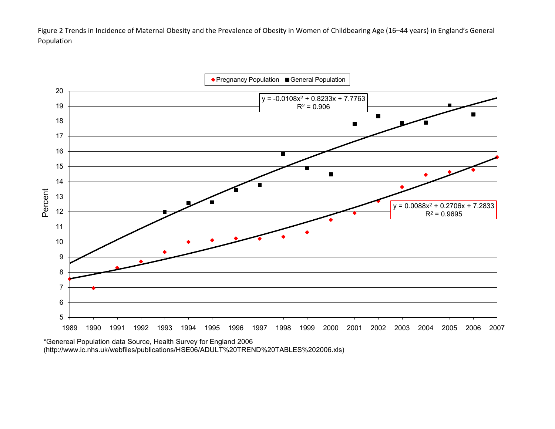Figure 2 Trends in Incidence of Maternal Obesity and the Prevalence of Obesity in Women of Childbearing Age (16–44 years) in England's General Population

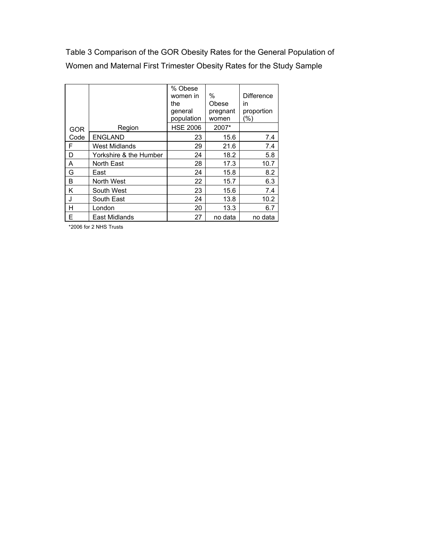Table 3 Comparison of the GOR Obesity Rates for the General Population of Women and Maternal First Trimester Obesity Rates for the Study Sample

|            |                        | % Obese               |                   |                   |
|------------|------------------------|-----------------------|-------------------|-------------------|
|            |                        | women in              | $\%$              | <b>Difference</b> |
|            |                        | the                   | Obese             | in                |
|            |                        | general<br>population | pregnant<br>women | proportion<br>(%) |
|            |                        |                       |                   |                   |
| <b>GOR</b> | Region                 | <b>HSE 2006</b>       | 2007*             |                   |
| Code       | <b>ENGLAND</b>         | 23                    | 15.6              | 7.4               |
| F          | <b>West Midlands</b>   | 29                    | 21.6              | 7.4               |
| D          | Yorkshire & the Humber | 24                    | 18.2              | 5.8               |
| A          | North East             | 28                    | 17.3              | 10.7              |
| G          | East                   | 24                    | 15.8              | 8.2               |
| В          | North West             | 22                    | 15.7              | 6.3               |
| Κ          | South West             | 23                    | 15.6              | 7.4               |
| J          | South East             | 24                    | 13.8              | 10.2              |
| н          | London                 | 20                    | 13.3              | 6.7               |
| E          | East Midlands          | 27                    | no data           | no data           |

\*2006 for 2 NHS Trusts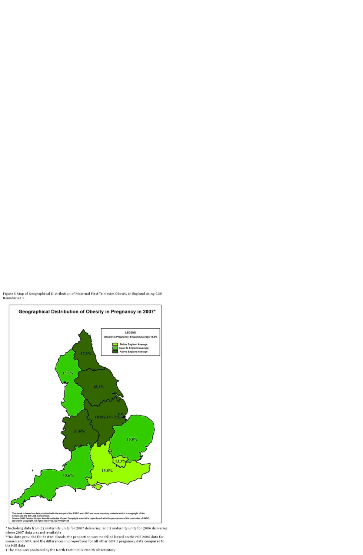Figure 3 Map of Geographical Distribution of Maternal First Trimester Obesity in England using GOR Boundaries 1



\* Including data from 32 maternity units for 2007 deliveries, and 2 maternity units for 2006 deliveries where 2007 data was not available

\*\*No data provided for East Midlands, the proportion was modelled based on the HSE 2006 data for women and GOR, and the differences in proportions for all other GOR's pregnancy data compared to the HSE data

1 The map was produced by the North East Public Health Observatory